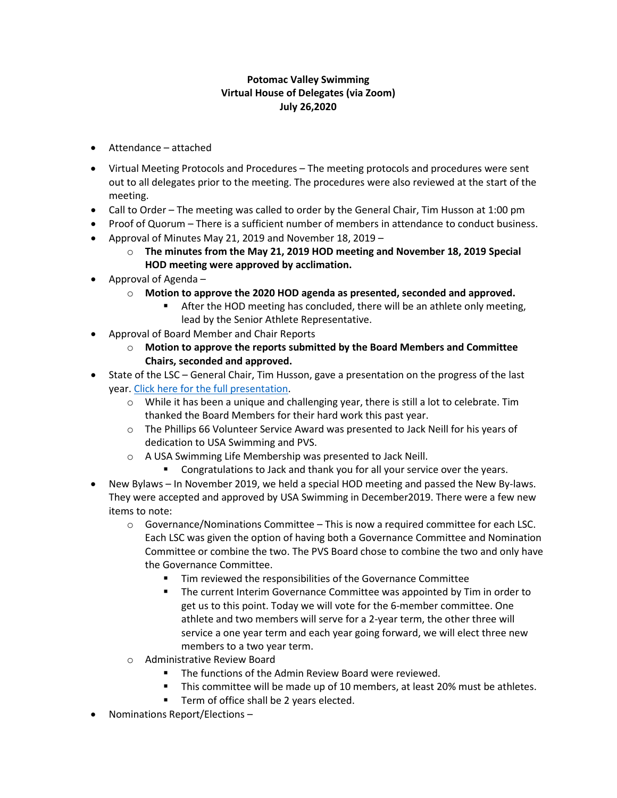## **Potomac Valley Swimming Virtual House of Delegates (via Zoom) July 26,2020**

- Attendance attached
- Virtual Meeting Protocols and Procedures The meeting protocols and procedures were sent out to all delegates prior to the meeting. The procedures were also reviewed at the start of the meeting.
- Call to Order The meeting was called to order by the General Chair, Tim Husson at 1:00 pm
- Proof of Quorum There is a sufficient number of members in attendance to conduct business.
- Approval of Minutes May 21, 2019 and November 18, 2019
	- o **The minutes from the May 21, 2019 HOD meeting and November 18, 2019 Special HOD meeting were approved by acclimation.**
- Approval of Agenda
	- o **Motion to approve the 2020 HOD agenda as presented, seconded and approved.** 
		- After the HOD meeting has concluded, there will be an athlete only meeting, lead by the Senior Athlete Representative.
- Approval of Board Member and Chair Reports
	- o **Motion to approve the reports submitted by the Board Members and Committee Chairs, seconded and approved.**
- State of the LSC General Chair, Tim Husson, gave a presentation on the progress of the last year. [Click here for the full presentation.](http://pvswim.org/hod/2020-HOD-Presentation.pdf)
	- o While it has been a unique and challenging year, there is still a lot to celebrate. Tim thanked the Board Members for their hard work this past year.
	- o The Phillips 66 Volunteer Service Award was presented to Jack Neill for his years of dedication to USA Swimming and PVS.
	- o A USA Swimming Life Membership was presented to Jack Neill.
		- **EXECONGLIFE CONGITED STAND III CONGITED STANDING** Congratulations to Jack and thank your service over the years.
- New Bylaws In November 2019, we held a special HOD meeting and passed the New By-laws. They were accepted and approved by USA Swimming in December2019. There were a few new items to note:
	- $\circ$  Governance/Nominations Committee This is now a required committee for each LSC. Each LSC was given the option of having both a Governance Committee and Nomination Committee or combine the two. The PVS Board chose to combine the two and only have the Governance Committee.
		- Tim reviewed the responsibilities of the Governance Committee
		- **The current Interim Governance Committee was appointed by Tim in order to** get us to this point. Today we will vote for the 6-member committee. One athlete and two members will serve for a 2-year term, the other three will service a one year term and each year going forward, we will elect three new members to a two year term.
	- o Administrative Review Board
		- The functions of the Admin Review Board were reviewed.
		- This committee will be made up of 10 members, at least 20% must be athletes.
		- Term of office shall be 2 years elected.
- Nominations Report/Elections –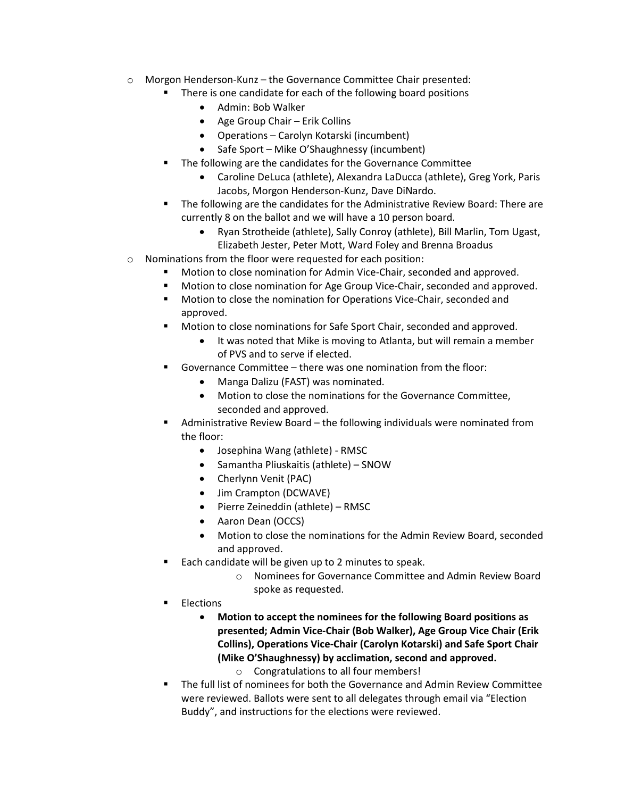- $\circ$  Morgon Henderson-Kunz the Governance Committee Chair presented:
	- There is one candidate for each of the following board positions
		- Admin: Bob Walker
		- Age Group Chair Erik Collins
		- Operations Carolyn Kotarski (incumbent)
		- Safe Sport Mike O'Shaughnessy (incumbent)
		- The following are the candidates for the Governance Committee
			- Caroline DeLuca (athlete), Alexandra LaDucca (athlete), Greg York, Paris Jacobs, Morgon Henderson-Kunz, Dave DiNardo.
	- The following are the candidates for the Administrative Review Board: There are currently 8 on the ballot and we will have a 10 person board.
		- Ryan Strotheide (athlete), Sally Conroy (athlete), Bill Marlin, Tom Ugast, Elizabeth Jester, Peter Mott, Ward Foley and Brenna Broadus
- o Nominations from the floor were requested for each position:
	- Motion to close nomination for Admin Vice-Chair, seconded and approved.
	- **Motion to close nomination for Age Group Vice-Chair, seconded and approved.**
	- **Motion to close the nomination for Operations Vice-Chair, seconded and** approved.
	- Motion to close nominations for Safe Sport Chair, seconded and approved.
		- It was noted that Mike is moving to Atlanta, but will remain a member of PVS and to serve if elected.
	- Governance Committee there was one nomination from the floor:
		- Manga Dalizu (FAST) was nominated.
		- Motion to close the nominations for the Governance Committee, seconded and approved.
	- Administrative Review Board the following individuals were nominated from the floor:
		- Josephina Wang (athlete) RMSC
		- Samantha Pliuskaitis (athlete) SNOW
		- Cherlynn Venit (PAC)
		- Jim Crampton (DCWAVE)
		- Pierre Zeineddin (athlete) RMSC
		- Aaron Dean (OCCS)
		- Motion to close the nominations for the Admin Review Board, seconded and approved.
		- Each candidate will be given up to 2 minutes to speak.
			- o Nominees for Governance Committee and Admin Review Board spoke as requested.
	- Elections
		- **Motion to accept the nominees for the following Board positions as presented; Admin Vice-Chair (Bob Walker), Age Group Vice Chair (Erik Collins), Operations Vice-Chair (Carolyn Kotarski) and Safe Sport Chair (Mike O'Shaughnessy) by acclimation, second and approved.**
			- o Congratulations to all four members!
	- The full list of nominees for both the Governance and Admin Review Committee were reviewed. Ballots were sent to all delegates through email via "Election Buddy", and instructions for the elections were reviewed.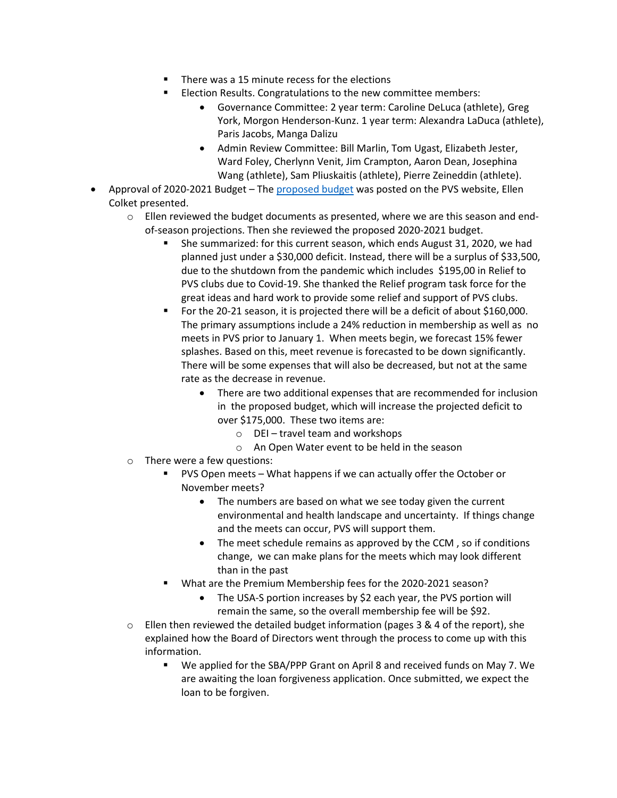- There was a 15 minute recess for the elections
- Election Results. Congratulations to the new committee members:
	- Governance Committee: 2 year term: Caroline DeLuca (athlete), Greg York, Morgon Henderson-Kunz. 1 year term: Alexandra LaDuca (athlete), Paris Jacobs, Manga Dalizu
	- Admin Review Committee: Bill Marlin, Tom Ugast, Elizabeth Jester, Ward Foley, Cherlynn Venit, Jim Crampton, Aaron Dean, Josephina Wang (athlete), Sam Pliuskaitis (athlete), Pierre Zeineddin (athlete).
- Approval of 2020-2021 Budget The [proposed budget](http://pvswim.org/hod/2020-HOD-Proposed-Budget-for-2021.pdf) was posted on the PVS website, Ellen Colket presented.
	- $\circ$  Ellen reviewed the budget documents as presented, where we are this season and endof-season projections. Then she reviewed the proposed 2020-2021 budget.
		- She summarized: for this current season, which ends August 31, 2020, we had planned just under a \$30,000 deficit. Instead, there will be a surplus of \$33,500, due to the shutdown from the pandemic which includes \$195,00 in Relief to PVS clubs due to Covid-19. She thanked the Relief program task force for the great ideas and hard work to provide some relief and support of PVS clubs.
		- For the 20-21 season, it is projected there will be a deficit of about \$160,000. The primary assumptions include a 24% reduction in membership as well as no meets in PVS prior to January 1. When meets begin, we forecast 15% fewer splashes. Based on this, meet revenue is forecasted to be down significantly. There will be some expenses that will also be decreased, but not at the same rate as the decrease in revenue.
			- There are two additional expenses that are recommended for inclusion in the proposed budget, which will increase the projected deficit to over \$175,000. These two items are:
				- o DEI travel team and workshops
				- o An Open Water event to be held in the season
	- o There were a few questions:
		- PVS Open meets What happens if we can actually offer the October or November meets?
			- The numbers are based on what we see today given the current environmental and health landscape and uncertainty. If things change and the meets can occur, PVS will support them.
			- The meet schedule remains as approved by the CCM, so if conditions change, we can make plans for the meets which may look different than in the past
		- What are the Premium Membership fees for the 2020-2021 season?
			- The USA-S portion increases by \$2 each year, the PVS portion will remain the same, so the overall membership fee will be \$92.
	- $\circ$  Ellen then reviewed the detailed budget information (pages 3 & 4 of the report), she explained how the Board of Directors went through the process to come up with this information.
		- We applied for the SBA/PPP Grant on April 8 and received funds on May 7. We are awaiting the loan forgiveness application. Once submitted, we expect the loan to be forgiven.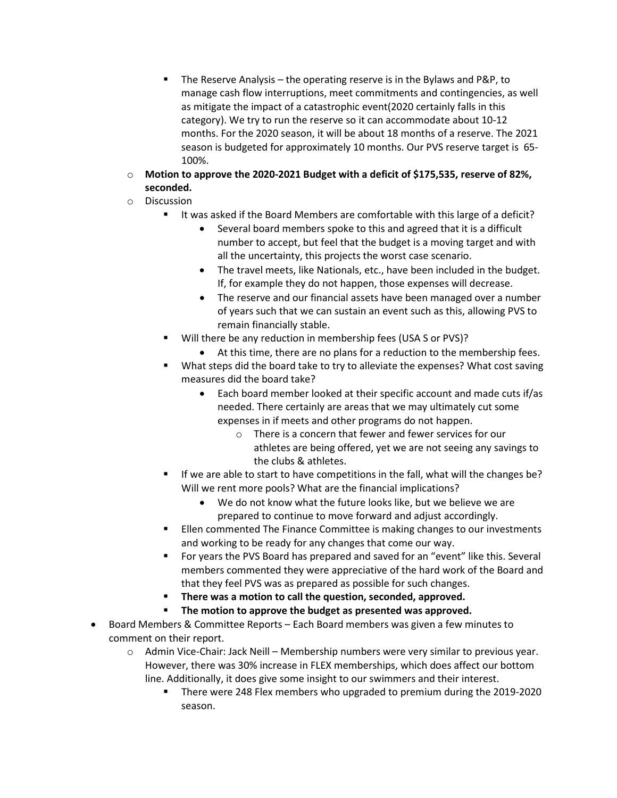- The Reserve Analysis the operating reserve is in the Bylaws and P&P, to manage cash flow interruptions, meet commitments and contingencies, as well as mitigate the impact of a catastrophic event(2020 certainly falls in this category). We try to run the reserve so it can accommodate about 10-12 months. For the 2020 season, it will be about 18 months of a reserve. The 2021 season is budgeted for approximately 10 months. Our PVS reserve target is 65- 100%.
- o **Motion to approve the 2020-2021 Budget with a deficit of \$175,535, reserve of 82%, seconded.**
- o Discussion
	- It was asked if the Board Members are comfortable with this large of a deficit?
		- Several board members spoke to this and agreed that it is a difficult number to accept, but feel that the budget is a moving target and with all the uncertainty, this projects the worst case scenario.
		- The travel meets, like Nationals, etc., have been included in the budget. If, for example they do not happen, those expenses will decrease.
		- The reserve and our financial assets have been managed over a number of years such that we can sustain an event such as this, allowing PVS to remain financially stable.
	- Will there be any reduction in membership fees (USA S or PVS)?
		- At this time, there are no plans for a reduction to the membership fees.
	- **What steps did the board take to try to alleviate the expenses? What cost saving** measures did the board take?
		- Each board member looked at their specific account and made cuts if/as needed. There certainly are areas that we may ultimately cut some expenses in if meets and other programs do not happen.
			- o There is a concern that fewer and fewer services for our athletes are being offered, yet we are not seeing any savings to the clubs & athletes.
	- If we are able to start to have competitions in the fall, what will the changes be? Will we rent more pools? What are the financial implications?
		- We do not know what the future looks like, but we believe we are prepared to continue to move forward and adjust accordingly.
	- Ellen commented The Finance Committee is making changes to our investments and working to be ready for any changes that come our way.
	- For years the PVS Board has prepared and saved for an "event" like this. Several members commented they were appreciative of the hard work of the Board and that they feel PVS was as prepared as possible for such changes.
	- **There was a motion to call the question, seconded, approved.**
	- **The motion to approve the budget as presented was approved.**
- Board Members & Committee Reports Each Board members was given a few minutes to comment on their report.
	- $\circ$  Admin Vice-Chair: Jack Neill Membership numbers were very similar to previous year. However, there was 30% increase in FLEX memberships, which does affect our bottom line. Additionally, it does give some insight to our swimmers and their interest.
		- There were 248 Flex members who upgraded to premium during the 2019-2020 season.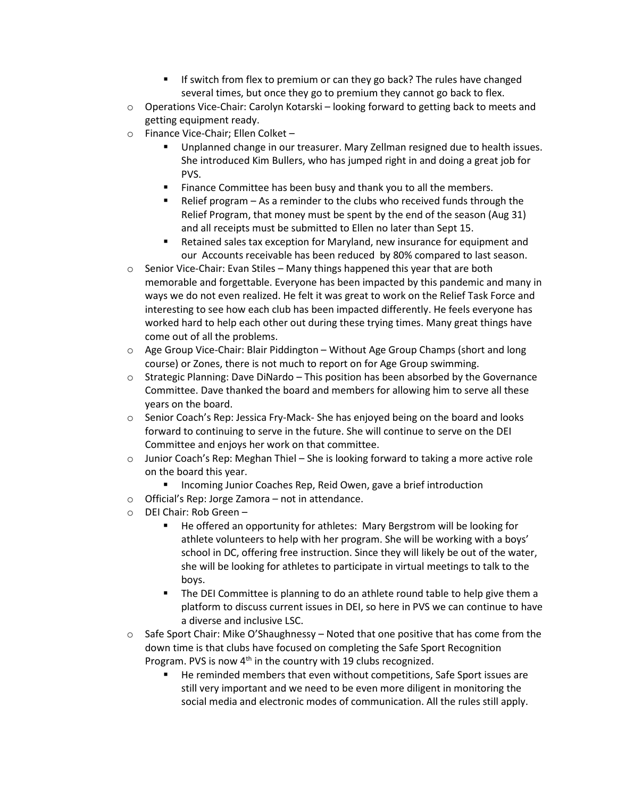- If switch from flex to premium or can they go back? The rules have changed several times, but once they go to premium they cannot go back to flex.
- $\circ$  Operations Vice-Chair: Carolyn Kotarski looking forward to getting back to meets and getting equipment ready.
- o Finance Vice-Chair; Ellen Colket
	- Unplanned change in our treasurer. Mary Zellman resigned due to health issues. She introduced Kim Bullers, who has jumped right in and doing a great job for PVS.
	- **Finance Committee has been busy and thank you to all the members.**
	- Relief program As a reminder to the clubs who received funds through the Relief Program, that money must be spent by the end of the season (Aug 31) and all receipts must be submitted to Ellen no later than Sept 15.
	- Retained sales tax exception for Maryland, new insurance for equipment and our Accounts receivable has been reduced by 80% compared to last season.
- $\circ$  Senior Vice-Chair: Evan Stiles Many things happened this year that are both memorable and forgettable. Everyone has been impacted by this pandemic and many in ways we do not even realized. He felt it was great to work on the Relief Task Force and interesting to see how each club has been impacted differently. He feels everyone has worked hard to help each other out during these trying times. Many great things have come out of all the problems.
- $\circ$  Age Group Vice-Chair: Blair Piddington Without Age Group Champs (short and long course) or Zones, there is not much to report on for Age Group swimming.
- o Strategic Planning: Dave DiNardo This position has been absorbed by the Governance Committee. Dave thanked the board and members for allowing him to serve all these years on the board.
- $\circ$  Senior Coach's Rep: Jessica Fry-Mack- She has enjoyed being on the board and looks forward to continuing to serve in the future. She will continue to serve on the DEI Committee and enjoys her work on that committee.
- o Junior Coach's Rep: Meghan Thiel She is looking forward to taking a more active role on the board this year.
	- **Incoming Junior Coaches Rep, Reid Owen, gave a brief introduction**
- o Official's Rep: Jorge Zamora not in attendance.
- o DEI Chair: Rob Green
	- He offered an opportunity for athletes: Mary Bergstrom will be looking for athlete volunteers to help with her program. She will be working with a boys' school in DC, offering free instruction. Since they will likely be out of the water, she will be looking for athletes to participate in virtual meetings to talk to the boys.
	- The DEI Committee is planning to do an athlete round table to help give them a platform to discuss current issues in DEI, so here in PVS we can continue to have a diverse and inclusive LSC.
- $\circ$  Safe Sport Chair: Mike O'Shaughnessy Noted that one positive that has come from the down time is that clubs have focused on completing the Safe Sport Recognition Program. PVS is now 4<sup>th</sup> in the country with 19 clubs recognized.
	- He reminded members that even without competitions, Safe Sport issues are still very important and we need to be even more diligent in monitoring the social media and electronic modes of communication. All the rules still apply.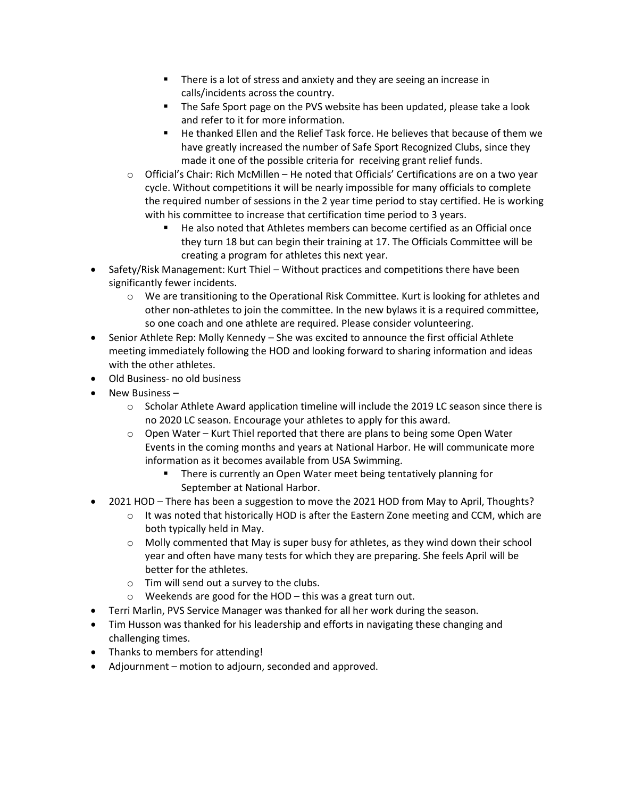- There is a lot of stress and anxiety and they are seeing an increase in calls/incidents across the country.
- **The Safe Sport page on the PVS website has been updated, please take a look** and refer to it for more information.
- He thanked Ellen and the Relief Task force. He believes that because of them we have greatly increased the number of Safe Sport Recognized Clubs, since they made it one of the possible criteria for receiving grant relief funds.
- o Official's Chair: Rich McMillen He noted that Officials' Certifications are on a two year cycle. Without competitions it will be nearly impossible for many officials to complete the required number of sessions in the 2 year time period to stay certified. He is working with his committee to increase that certification time period to 3 years.
	- He also noted that Athletes members can become certified as an Official once they turn 18 but can begin their training at 17. The Officials Committee will be creating a program for athletes this next year.
- Safety/Risk Management: Kurt Thiel Without practices and competitions there have been significantly fewer incidents.
	- o We are transitioning to the Operational Risk Committee. Kurt is looking for athletes and other non-athletes to join the committee. In the new bylaws it is a required committee, so one coach and one athlete are required. Please consider volunteering.
- Senior Athlete Rep: Molly Kennedy She was excited to announce the first official Athlete meeting immediately following the HOD and looking forward to sharing information and ideas with the other athletes.
- Old Business- no old business
- New Business
	- o Scholar Athlete Award application timeline will include the 2019 LC season since there is no 2020 LC season. Encourage your athletes to apply for this award.
	- $\circ$  Open Water Kurt Thiel reported that there are plans to being some Open Water Events in the coming months and years at National Harbor. He will communicate more information as it becomes available from USA Swimming.
		- **There is currently an Open Water meet being tentatively planning for** September at National Harbor.
- 2021 HOD There has been a suggestion to move the 2021 HOD from May to April, Thoughts?
	- $\circ$  It was noted that historically HOD is after the Eastern Zone meeting and CCM, which are both typically held in May.
	- $\circ$  Molly commented that May is super busy for athletes, as they wind down their school year and often have many tests for which they are preparing. She feels April will be better for the athletes.
	- o Tim will send out a survey to the clubs.
	- $\circ$  Weekends are good for the HOD this was a great turn out.
- Terri Marlin, PVS Service Manager was thanked for all her work during the season.
- Tim Husson was thanked for his leadership and efforts in navigating these changing and challenging times.
- Thanks to members for attending!
- Adjournment motion to adjourn, seconded and approved.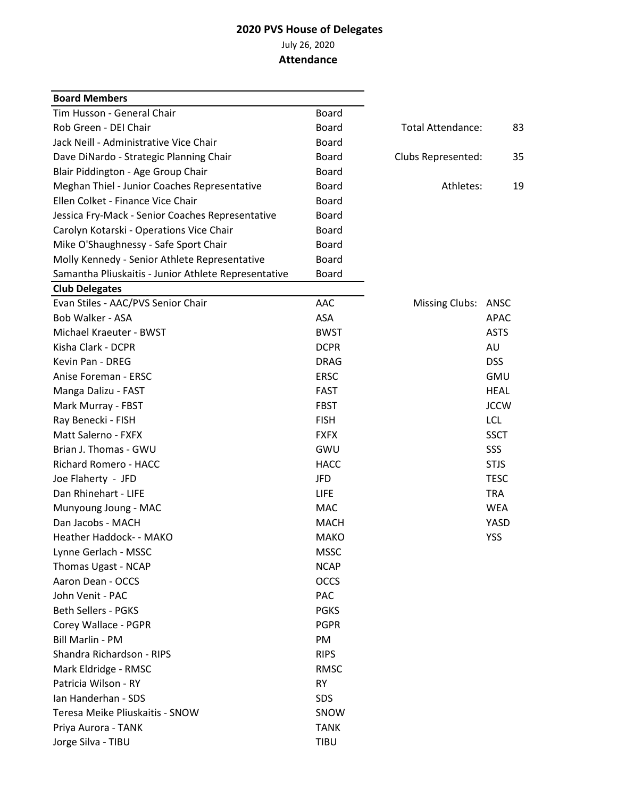## **2020 PVS House of Delegates** July 26, 2020

## **Attendance**

| <b>Board Members</b>                                 |              |                    |             |
|------------------------------------------------------|--------------|--------------------|-------------|
| Tim Husson - General Chair                           | Board        |                    |             |
| Rob Green - DEI Chair                                | <b>Board</b> | Total Attendance:  | 83          |
| Jack Neill - Administrative Vice Chair               | <b>Board</b> |                    |             |
| Dave DiNardo - Strategic Planning Chair              | <b>Board</b> | Clubs Represented: | 35          |
| Blair Piddington - Age Group Chair                   | <b>Board</b> |                    |             |
| Meghan Thiel - Junior Coaches Representative         | <b>Board</b> | Athletes:          | 19          |
| Ellen Colket - Finance Vice Chair                    | <b>Board</b> |                    |             |
| Jessica Fry-Mack - Senior Coaches Representative     | <b>Board</b> |                    |             |
| Carolyn Kotarski - Operations Vice Chair             | <b>Board</b> |                    |             |
| Mike O'Shaughnessy - Safe Sport Chair                | Board        |                    |             |
| Molly Kennedy - Senior Athlete Representative        | <b>Board</b> |                    |             |
| Samantha Pliuskaitis - Junior Athlete Representative | <b>Board</b> |                    |             |
| <b>Club Delegates</b>                                |              |                    |             |
| Evan Stiles - AAC/PVS Senior Chair                   | AAC          | Missing Clubs:     | ANSC        |
| Bob Walker - ASA                                     | ASA          |                    | <b>APAC</b> |
| Michael Kraeuter - BWST                              | <b>BWST</b>  |                    | <b>ASTS</b> |
| Kisha Clark - DCPR                                   | <b>DCPR</b>  |                    | AU          |
| Kevin Pan - DREG                                     | <b>DRAG</b>  |                    | <b>DSS</b>  |
| Anise Foreman - ERSC                                 | <b>ERSC</b>  |                    | <b>GMU</b>  |
| Manga Dalizu - FAST                                  | <b>FAST</b>  |                    | <b>HEAL</b> |
| Mark Murray - FBST                                   | <b>FBST</b>  |                    | <b>JCCW</b> |
| Ray Benecki - FISH                                   | <b>FISH</b>  |                    | <b>LCL</b>  |
| Matt Salerno - FXFX                                  | <b>FXFX</b>  |                    | <b>SSCT</b> |
| Brian J. Thomas - GWU                                | GWU          |                    | SSS         |
| Richard Romero - HACC                                | <b>HACC</b>  |                    | <b>STJS</b> |
| Joe Flaherty - JFD                                   | <b>JFD</b>   |                    | <b>TESC</b> |
| Dan Rhinehart - LIFE                                 | <b>LIFE</b>  |                    | <b>TRA</b>  |
| Munyoung Joung - MAC                                 | <b>MAC</b>   |                    | <b>WEA</b>  |
| Dan Jacobs - MACH                                    | <b>MACH</b>  |                    | YASD        |
| Heather Haddock- - MAKO                              | <b>MAKO</b>  |                    | <b>YSS</b>  |
| Lynne Gerlach - MSSC                                 | <b>MSSC</b>  |                    |             |
| Thomas Ugast - NCAP                                  | <b>NCAP</b>  |                    |             |
| Aaron Dean - OCCS                                    | <b>OCCS</b>  |                    |             |
| John Venit - PAC                                     | <b>PAC</b>   |                    |             |
| <b>Beth Sellers - PGKS</b>                           | <b>PGKS</b>  |                    |             |
| Corey Wallace - PGPR                                 | <b>PGPR</b>  |                    |             |
| Bill Marlin - PM                                     | <b>PM</b>    |                    |             |
| Shandra Richardson - RIPS                            | <b>RIPS</b>  |                    |             |
| Mark Eldridge - RMSC                                 | <b>RMSC</b>  |                    |             |
| Patricia Wilson - RY                                 | <b>RY</b>    |                    |             |
| Ian Handerhan - SDS                                  | SDS          |                    |             |
| Teresa Meike Pliuskaitis - SNOW                      | SNOW         |                    |             |
| Priya Aurora - TANK                                  | <b>TANK</b>  |                    |             |
| Jorge Silva - TIBU                                   | <b>TIBU</b>  |                    |             |